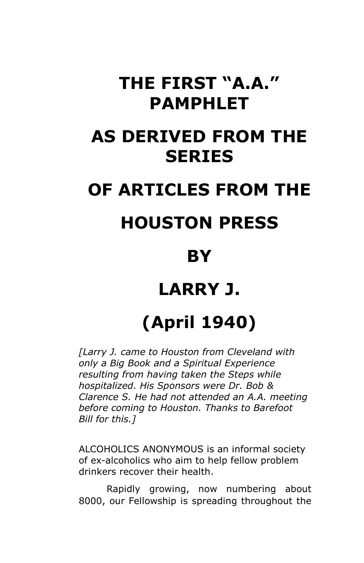# **THE FIRST "A.A." PAMPHLET**

# **AS DERIVED FROM THE SERIES**

# **OF ARTICLES FROM THE**

# **HOUSTON PRESS**

# **BY**

# **LARRY J.**

# **(April 1940)**

*[Larry J. came to Houston from Cleveland with only a Big Book and a Spiritual Experience resulting from having taken the Steps while hospitalized. His Sponsors were Dr. Bob & Clarence S. He had not attended an A.A. meeting before coming to Houston. Thanks to Barefoot Bill for this.]*

ALCOHOLICS ANONYMOUS is an informal society of ex-alcoholics who aim to help fellow problem drinkers recover their health.

 Rapidly growing, now numbering about 8000, our Fellowship is spreading throughout the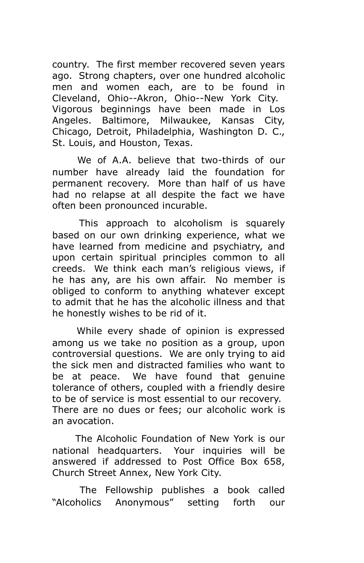country. The first member recovered seven years ago. Strong chapters, over one hundred alcoholic men and women each, are to be found in Cleveland, Ohio--Akron, Ohio--New York City. Vigorous beginnings have been made in Los Angeles. Baltimore, Milwaukee, Kansas City, Chicago, Detroit, Philadelphia, Washington D. C., St. Louis, and Houston, Texas.

 We of A.A. believe that two-thirds of our number have already laid the foundation for permanent recovery. More than half of us have had no relapse at all despite the fact we have often been pronounced incurable.

 This approach to alcoholism is squarely based on our own drinking experience, what we have learned from medicine and psychiatry, and upon certain spiritual principles common to all creeds. We think each man's religious views, if he has any, are his own affair. No member is obliged to conform to anything whatever except to admit that he has the alcoholic illness and that he honestly wishes to be rid of it.

 While every shade of opinion is expressed among us we take no position as a group, upon controversial questions. We are only trying to aid the sick men and distracted families who want to be at peace. We have found that genuine tolerance of others, coupled with a friendly desire to be of service is most essential to our recovery. There are no dues or fees; our alcoholic work is an avocation.

 The Alcoholic Foundation of New York is our national headquarters. Your inquiries will be answered if addressed to Post Office Box 658, Church Street Annex, New York City.

 The Fellowship publishes a book called "Alcoholics Anonymous" setting forth our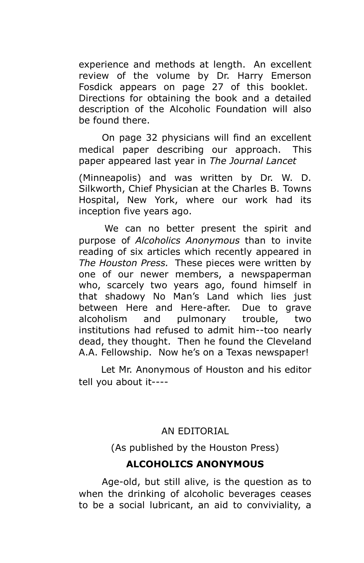experience and methods at length. An excellent review of the volume by Dr. Harry Emerson Fosdick appears on page 27 of this booklet. Directions for obtaining the book and a detailed description of the Alcoholic Foundation will also be found there.

 On page 32 physicians will find an excellent medical paper describing our approach. This paper appeared last year in *The Journal Lancet*

(Minneapolis) and was written by Dr. W. D. Silkworth, Chief Physician at the Charles B. Towns Hospital, New York, where our work had its inception five years ago.

 We can no better present the spirit and purpose of *Alcoholics Anonymous* than to invite reading of six articles which recently appeared in *The Houston Press.* These pieces were written by one of our newer members, a newspaperman who, scarcely two years ago, found himself in that shadowy No Man's Land which lies just between Here and Here-after. Due to grave alcoholism and pulmonary trouble, two institutions had refused to admit him--too nearly dead, they thought. Then he found the Cleveland A.A. Fellowship. Now he's on a Texas newspaper!

 Let Mr. Anonymous of Houston and his editor tell you about it----

#### AN EDITORIAL

(As published by the Houston Press)

# **ALCOHOLICS ANONYMOUS**

 Age-old, but still alive, is the question as to when the drinking of alcoholic beverages ceases to be a social lubricant, an aid to conviviality, a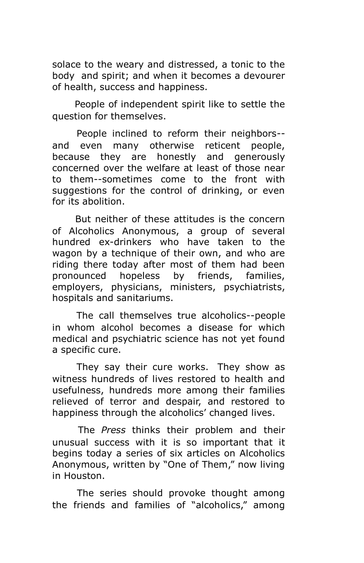solace to the weary and distressed, a tonic to the body and spirit; and when it becomes a devourer of health, success and happiness.

 People of independent spirit like to settle the question for themselves.

 People inclined to reform their neighbors- and even many otherwise reticent people, because they are honestly and generously concerned over the welfare at least of those near to them--sometimes come to the front with suggestions for the control of drinking, or even for its abolition.

 But neither of these attitudes is the concern of Alcoholics Anonymous, a group of several hundred ex-drinkers who have taken to the wagon by a technique of their own, and who are riding there today after most of them had been pronounced hopeless by friends, families, employers, physicians, ministers, psychiatrists, hospitals and sanitariums.

 The call themselves true alcoholics--people in whom alcohol becomes a disease for which medical and psychiatric science has not yet found a specific cure.

 They say their cure works. They show as witness hundreds of lives restored to health and usefulness, hundreds more among their families relieved of terror and despair, and restored to happiness through the alcoholics' changed lives.

 The *Press* thinks their problem and their unusual success with it is so important that it begins today a series of six articles on Alcoholics Anonymous, written by "One of Them," now living in Houston.

 The series should provoke thought among the friends and families of "alcoholics," among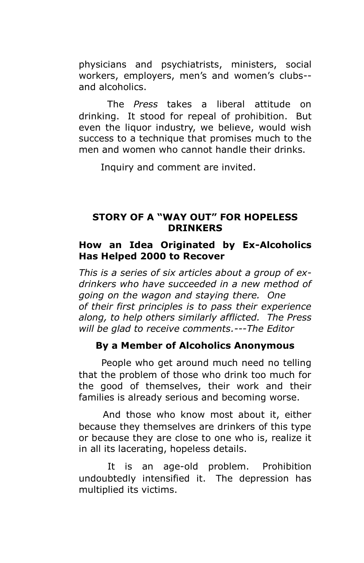physicians and psychiatrists, ministers, social workers, employers, men's and women's clubs- and alcoholics.

 The *Press* takes a liberal attitude on drinking. It stood for repeal of prohibition. But even the liquor industry, we believe, would wish success to a technique that promises much to the men and women who cannot handle their drinks.

Inquiry and comment are invited.

# **STORY OF A "WAY OUT" FOR HOPELESS DRINKERS**

#### **How an Idea Originated by Ex-Alcoholics Has Helped 2000 to Recover**

*This is a series of six articles about a group of exdrinkers who have succeeded in a new method of going on the wagon and staying there. One of their first principles is to pass their experience along, to help others similarly afflicted. The Press will be glad to receive comments.---The Editor*

# **By a Member of Alcoholics Anonymous**

 People who get around much need no telling that the problem of those who drink too much for the good of themselves, their work and their families is already serious and becoming worse.

 And those who know most about it, either because they themselves are drinkers of this type or because they are close to one who is, realize it in all its lacerating, hopeless details.

 It is an age-old problem. Prohibition undoubtedly intensified it. The depression has multiplied its victims.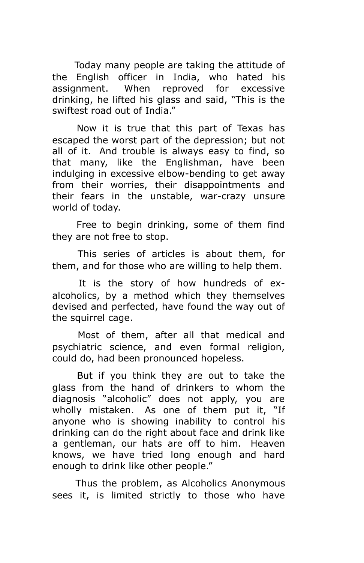Today many people are taking the attitude of the English officer in India, who hated his assignment. When reproved for excessive drinking, he lifted his glass and said, "This is the swiftest road out of India."

 Now it is true that this part of Texas has escaped the worst part of the depression; but not all of it. And trouble is always easy to find, so that many, like the Englishman, have been indulging in excessive elbow-bending to get away from their worries, their disappointments and their fears in the unstable, war-crazy unsure world of today.

 Free to begin drinking, some of them find they are not free to stop.

 This series of articles is about them, for them, and for those who are willing to help them.

 It is the story of how hundreds of exalcoholics, by a method which they themselves devised and perfected, have found the way out of the squirrel cage.

 Most of them, after all that medical and psychiatric science, and even formal religion, could do, had been pronounced hopeless.

 But if you think they are out to take the glass from the hand of drinkers to whom the diagnosis "alcoholic" does not apply, you are wholly mistaken. As one of them put it, "If anyone who is showing inability to control his drinking can do the right about face and drink like a gentleman, our hats are off to him. Heaven knows, we have tried long enough and hard enough to drink like other people."

 Thus the problem, as Alcoholics Anonymous sees it, is limited strictly to those who have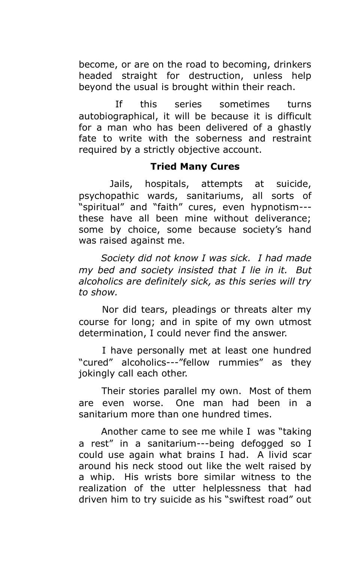become, or are on the road to becoming, drinkers headed straight for destruction, unless help beyond the usual is brought within their reach.

 If this series sometimes turns autobiographical, it will be because it is difficult for a man who has been delivered of a ghastly fate to write with the soberness and restraint required by a strictly objective account.

#### **Tried Many Cures**

 Jails, hospitals, attempts at suicide, psychopathic wards, sanitariums, all sorts of "spiritual" and "faith" cures, even hypnotism-- these have all been mine without deliverance; some by choice, some because society's hand was raised against me.

 *Society did not know I was sick. I had made my bed and society insisted that I lie in it. But alcoholics are definitely sick, as this series will try to show.*

 Nor did tears, pleadings or threats alter my course for long; and in spite of my own utmost determination, I could never find the answer.

 I have personally met at least one hundred "cured" alcoholics---"fellow rummies" as they jokingly call each other.

 Their stories parallel my own. Most of them are even worse. One man had been in a sanitarium more than one hundred times.

 Another came to see me while I was "taking a rest" in a sanitarium---being defogged so I could use again what brains I had. A livid scar around his neck stood out like the welt raised by a whip. His wrists bore similar witness to the realization of the utter helplessness that had driven him to try suicide as his "swiftest road" out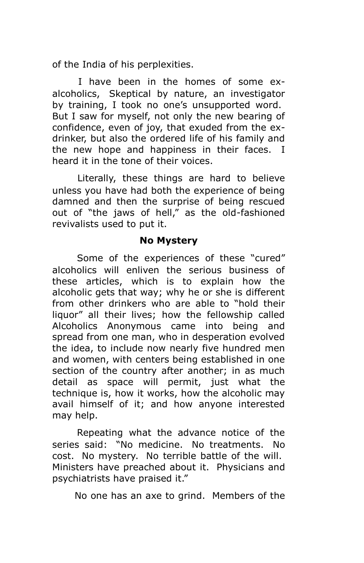of the India of his perplexities.

 I have been in the homes of some exalcoholics, Skeptical by nature, an investigator by training, I took no one's unsupported word. But I saw for myself, not only the new bearing of confidence, even of joy, that exuded from the exdrinker, but also the ordered life of his family and the new hope and happiness in their faces. I heard it in the tone of their voices.

 Literally, these things are hard to believe unless you have had both the experience of being damned and then the surprise of being rescued out of "the jaws of hell," as the old-fashioned revivalists used to put it.

#### **No Mystery**

 Some of the experiences of these "cured" alcoholics will enliven the serious business of these articles, which is to explain how the alcoholic gets that way; why he or she is different from other drinkers who are able to "hold their liquor" all their lives; how the fellowship called Alcoholics Anonymous came into being and spread from one man, who in desperation evolved the idea, to include now nearly five hundred men and women, with centers being established in one section of the country after another; in as much detail as space will permit, just what the technique is, how it works, how the alcoholic may avail himself of it; and how anyone interested may help.

 Repeating what the advance notice of the series said: "No medicine. No treatments. No cost. No mystery. No terrible battle of the will. Ministers have preached about it. Physicians and psychiatrists have praised it."

No one has an axe to grind. Members of the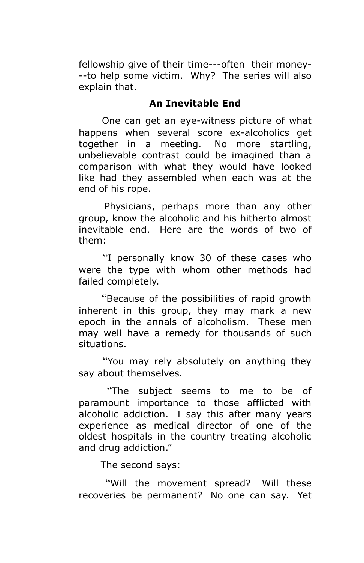fellowship give of their time---often their money- --to help some victim. Why? The series will also explain that.

#### **An Inevitable End**

 One can get an eye-witness picture of what happens when several score ex-alcoholics get together in a meeting. No more startling, unbelievable contrast could be imagined than a comparison with what they would have looked like had they assembled when each was at the end of his rope.

 Physicians, perhaps more than any other group, know the alcoholic and his hitherto almost inevitable end. Here are the words of two of them:

 "I personally know 30 of these cases who were the type with whom other methods had failed completely.

 "Because of the possibilities of rapid growth inherent in this group, they may mark a new epoch in the annals of alcoholism. These men may well have a remedy for thousands of such situations.

 "You may rely absolutely on anything they say about themselves.

 "The subject seems to me to be of paramount importance to those afflicted with alcoholic addiction. I say this after many years experience as medical director of one of the oldest hospitals in the country treating alcoholic and drug addiction."

The second says:

 "Will the movement spread? Will these recoveries be permanent? No one can say. Yet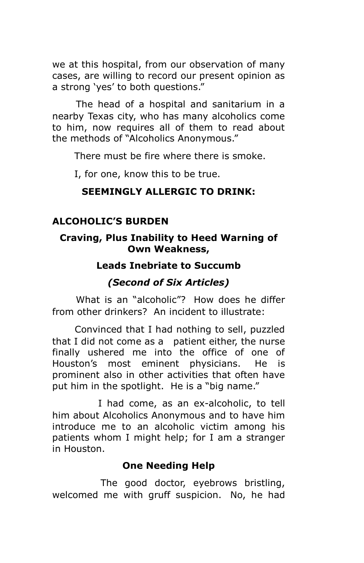we at this hospital, from our observation of many cases, are willing to record our present opinion as a strong 'yes' to both questions."

 The head of a hospital and sanitarium in a nearby Texas city, who has many alcoholics come to him, now requires all of them to read about the methods of "Alcoholics Anonymous."

There must be fire where there is smoke.

I, for one, know this to be true.

# **SEEMINGLY ALLERGIC TO DRINK:**

# **ALCOHOLIC'S BURDEN**

# **Craving, Plus Inability to Heed Warning of Own Weakness,**

# **Leads Inebriate to Succumb**

# *(Second of Six Articles)*

 What is an "alcoholic"? How does he differ from other drinkers? An incident to illustrate:

 Convinced that I had nothing to sell, puzzled that I did not come as a patient either, the nurse finally ushered me into the office of one of Houston's most eminent physicians. He is prominent also in other activities that often have put him in the spotlight. He is a "big name."

 I had come, as an ex-alcoholic, to tell him about Alcoholics Anonymous and to have him introduce me to an alcoholic victim among his patients whom I might help; for I am a stranger in Houston.

# **One Needing Help**

 The good doctor, eyebrows bristling, welcomed me with gruff suspicion. No, he had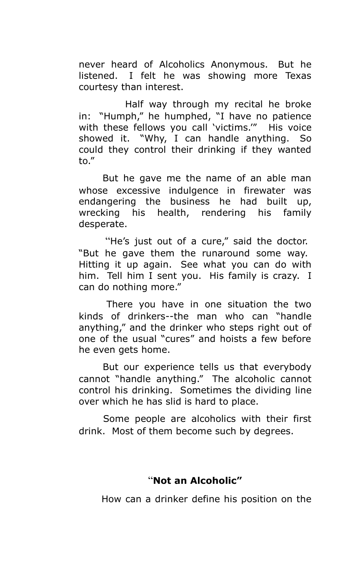never heard of Alcoholics Anonymous. But he listened. I felt he was showing more Texas courtesy than interest.

 Half way through my recital he broke in: "Humph," he humphed, "I have no patience with these fellows you call 'victims."" His voice showed it. "Why, I can handle anything. So could they control their drinking if they wanted to."

 But he gave me the name of an able man whose excessive indulgence in firewater was endangering the business he had built up, wrecking his health, rendering his family desperate.

 "He's just out of a cure," said the doctor. "But he gave them the runaround some way. Hitting it up again. See what you can do with him. Tell him I sent you. His family is crazy. I can do nothing more."

 There you have in one situation the two kinds of drinkers--the man who can "handle anything," and the drinker who steps right out of one of the usual "cures" and hoists a few before he even gets home.

 But our experience tells us that everybody cannot "handle anything." The alcoholic cannot control his drinking. Sometimes the dividing line over which he has slid is hard to place.

 Some people are alcoholics with their first drink. Most of them become such by degrees.

#### "**Not an Alcoholic"**

How can a drinker define his position on the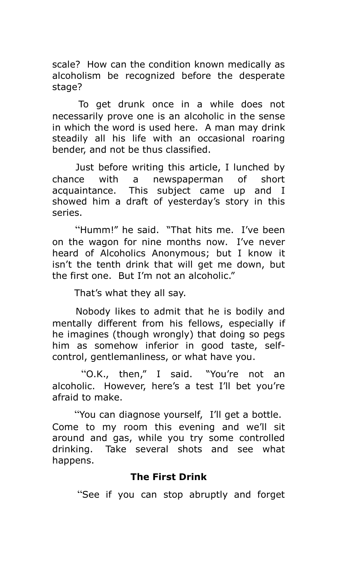scale? How can the condition known medically as alcoholism be recognized before the desperate stage?

 To get drunk once in a while does not necessarily prove one is an alcoholic in the sense in which the word is used here. A man may drink steadily all his life with an occasional roaring bender, and not be thus classified.

 Just before writing this article, I lunched by chance with a newspaperman of short acquaintance. This subject came up and I showed him a draft of yesterday's story in this series.

 "Humm!" he said. "That hits me. I've been on the wagon for nine months now. I've never heard of Alcoholics Anonymous; but I know it isn't the tenth drink that will get me down, but the first one. But I'm not an alcoholic."

That's what they all say.

 Nobody likes to admit that he is bodily and mentally different from his fellows, especially if he imagines (though wrongly) that doing so pegs him as somehow inferior in good taste, selfcontrol, gentlemanliness, or what have you.

 "O.K., then," I said. "You're not an alcoholic. However, here's a test I'll bet you're afraid to make.

 "You can diagnose yourself, I'll get a bottle. Come to my room this evening and we'll sit around and gas, while you try some controlled drinking. Take several shots and see what happens.

#### **The First Drink**

"See if you can stop abruptly and forget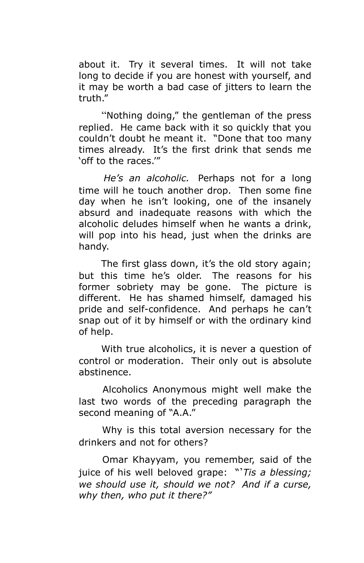about it. Try it several times. It will not take long to decide if you are honest with yourself, and it may be worth a bad case of jitters to learn the truth."

 "Nothing doing," the gentleman of the press replied. He came back with it so quickly that you couldn't doubt he meant it. "Done that too many times already. It's the first drink that sends me 'off to the races.'"

 *He's an alcoholic.* Perhaps not for a long time will he touch another drop. Then some fine day when he isn't looking, one of the insanely absurd and inadequate reasons with which the alcoholic deludes himself when he wants a drink, will pop into his head, just when the drinks are handy.

 The first glass down, it's the old story again; but this time he's older. The reasons for his former sobriety may be gone. The picture is different. He has shamed himself, damaged his pride and self-confidence. And perhaps he can't snap out of it by himself or with the ordinary kind of help.

 With true alcoholics, it is never a question of control or moderation. Their only out is absolute abstinence.

 Alcoholics Anonymous might well make the last two words of the preceding paragraph the second meaning of "A.A."

 Why is this total aversion necessary for the drinkers and not for others?

 Omar Khayyam, you remember, said of the juice of his well beloved grape: "'*Tis a blessing; we should use it, should we not? And if a curse, why then, who put it there?"*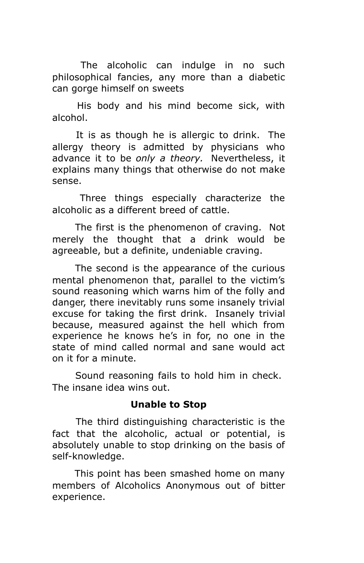The alcoholic can indulge in no such philosophical fancies, any more than a diabetic can gorge himself on sweets

 His body and his mind become sick, with alcohol.

 It is as though he is allergic to drink. The allergy theory is admitted by physicians who advance it to be *only a theory.* Nevertheless, it explains many things that otherwise do not make sense.

 Three things especially characterize the alcoholic as a different breed of cattle.

 The first is the phenomenon of craving. Not merely the thought that a drink would be agreeable, but a definite, undeniable craving.

 The second is the appearance of the curious mental phenomenon that, parallel to the victim's sound reasoning which warns him of the folly and danger, there inevitably runs some insanely trivial excuse for taking the first drink. Insanely trivial because, measured against the hell which from experience he knows he's in for, no one in the state of mind called normal and sane would act on it for a minute.

 Sound reasoning fails to hold him in check. The insane idea wins out.

#### **Unable to Stop**

 The third distinguishing characteristic is the fact that the alcoholic, actual or potential, is absolutely unable to stop drinking on the basis of self-knowledge.

 This point has been smashed home on many members of Alcoholics Anonymous out of bitter experience.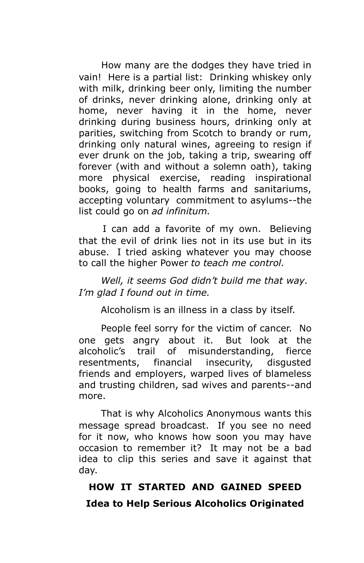How many are the dodges they have tried in vain! Here is a partial list: Drinking whiskey only with milk, drinking beer only, limiting the number of drinks, never drinking alone, drinking only at home, never having it in the home, never drinking during business hours, drinking only at parities, switching from Scotch to brandy or rum, drinking only natural wines, agreeing to resign if ever drunk on the job, taking a trip, swearing off forever (with and without a solemn oath), taking more physical exercise, reading inspirational books, going to health farms and sanitariums, accepting voluntary commitment to asylums--the list could go on *ad infinitum.*

 I can add a favorite of my own. Believing that the evil of drink lies not in its use but in its abuse. I tried asking whatever you may choose to call the higher Power *to teach me control.*

 *Well, it seems God didn't build me that way. I'm glad I found out in time.*

Alcoholism is an illness in a class by itself.

 People feel sorry for the victim of cancer. No one gets angry about it. But look at the alcoholic's trail of misunderstanding, fierce resentments, financial insecurity, disgusted friends and employers, warped lives of blameless and trusting children, sad wives and parents--and more.

 That is why Alcoholics Anonymous wants this message spread broadcast. If you see no need for it now, who knows how soon you may have occasion to remember it? It may not be a bad idea to clip this series and save it against that day.

**HOW IT STARTED AND GAINED SPEED Idea to Help Serious Alcoholics Originated**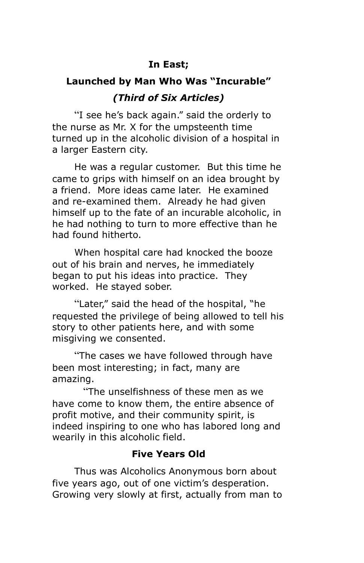# **In East;**

# **Launched by Man Who Was "Incurable"**

# *(Third of Six Articles)*

 "I see he's back again." said the orderly to the nurse as Mr. X for the umpsteenth time turned up in the alcoholic division of a hospital in a larger Eastern city.

 He was a regular customer. But this time he came to grips with himself on an idea brought by a friend. More ideas came later. He examined and re-examined them. Already he had given himself up to the fate of an incurable alcoholic, in he had nothing to turn to more effective than he had found hitherto.

 When hospital care had knocked the booze out of his brain and nerves, he immediately began to put his ideas into practice. They worked. He stayed sober.

 "Later," said the head of the hospital, "he requested the privilege of being allowed to tell his story to other patients here, and with some misgiving we consented.

 "The cases we have followed through have been most interesting; in fact, many are amazing.

 "The unselfishness of these men as we have come to know them, the entire absence of profit motive, and their community spirit, is indeed inspiring to one who has labored long and wearily in this alcoholic field.

# **Five Years Old**

 Thus was Alcoholics Anonymous born about five years ago, out of one victim's desperation. Growing very slowly at first, actually from man to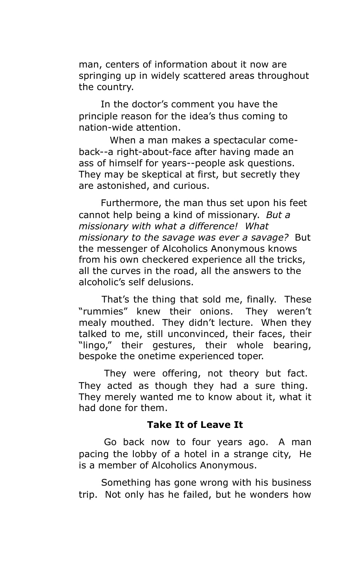man, centers of information about it now are springing up in widely scattered areas throughout the country.

 In the doctor's comment you have the principle reason for the idea's thus coming to nation-wide attention.

 When a man makes a spectacular comeback--a right-about-face after having made an ass of himself for years--people ask questions. They may be skeptical at first, but secretly they are astonished, and curious.

 Furthermore, the man thus set upon his feet cannot help being a kind of missionary. *But a missionary with what a difference! What missionary to the savage was ever a savage?* But the messenger of Alcoholics Anonymous knows from his own checkered experience all the tricks, all the curves in the road, all the answers to the alcoholic's self delusions.

 That's the thing that sold me, finally. These "rummies" knew their onions. They weren't mealy mouthed. They didn't lecture. When they talked to me, still unconvinced, their faces, their "lingo," their gestures, their whole bearing, bespoke the onetime experienced toper.

 They were offering, not theory but fact. They acted as though they had a sure thing. They merely wanted me to know about it, what it had done for them.

#### **Take It of Leave It**

 Go back now to four years ago. A man pacing the lobby of a hotel in a strange city, He is a member of Alcoholics Anonymous.

 Something has gone wrong with his business trip. Not only has he failed, but he wonders how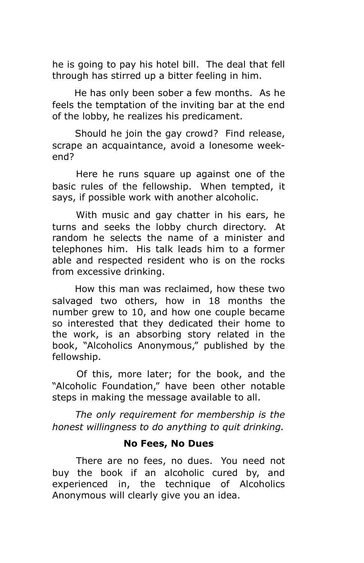he is going to pay his hotel bill. The deal that fell through has stirred up a bitter feeling in him.

 He has only been sober a few months. As he feels the temptation of the inviting bar at the end of the lobby, he realizes his predicament.

 Should he join the gay crowd? Find release, scrape an acquaintance, avoid a lonesome weekend?

 Here he runs square up against one of the basic rules of the fellowship. When tempted, it says, if possible work with another alcoholic.

 With music and gay chatter in his ears, he turns and seeks the lobby church directory. At random he selects the name of a minister and telephones him. His talk leads him to a former able and respected resident who is on the rocks from excessive drinking.

 How this man was reclaimed, how these two salvaged two others, how in 18 months the number grew to 10, and how one couple became so interested that they dedicated their home to the work, is an absorbing story related in the book, "Alcoholics Anonymous," published by the fellowship.

 Of this, more later; for the book, and the "Alcoholic Foundation," have been other notable steps in making the message available to all.

 *The only requirement for membership is the honest willingness to do anything to quit drinking.*

#### **No Fees, No Dues**

 There are no fees, no dues. You need not buy the book if an alcoholic cured by, and experienced in, the technique of Alcoholics Anonymous will clearly give you an idea.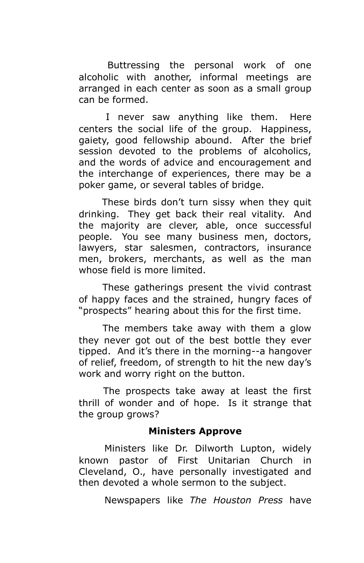Buttressing the personal work of one alcoholic with another, informal meetings are arranged in each center as soon as a small group can be formed.

 I never saw anything like them. Here centers the social life of the group. Happiness, gaiety, good fellowship abound. After the brief session devoted to the problems of alcoholics, and the words of advice and encouragement and the interchange of experiences, there may be a poker game, or several tables of bridge.

 These birds don't turn sissy when they quit drinking. They get back their real vitality. And the majority are clever, able, once successful people. You see many business men, doctors, lawyers, star salesmen, contractors, insurance men, brokers, merchants, as well as the man whose field is more limited.

 These gatherings present the vivid contrast of happy faces and the strained, hungry faces of "prospects" hearing about this for the first time.

 The members take away with them a glow they never got out of the best bottle they ever tipped. And it's there in the morning--a hangover of relief, freedom, of strength to hit the new day's work and worry right on the button.

 The prospects take away at least the first thrill of wonder and of hope. Is it strange that the group grows?

#### **Ministers Approve**

 Ministers like Dr. Dilworth Lupton, widely known pastor of First Unitarian Church in Cleveland, O., have personally investigated and then devoted a whole sermon to the subject.

Newspapers like *The Houston Press* have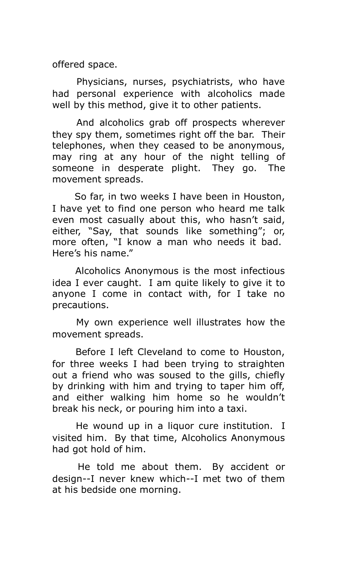offered space.

 Physicians, nurses, psychiatrists, who have had personal experience with alcoholics made well by this method, give it to other patients.

 And alcoholics grab off prospects wherever they spy them, sometimes right off the bar. Their telephones, when they ceased to be anonymous, may ring at any hour of the night telling of someone in desperate plight. They go. The movement spreads.

 So far, in two weeks I have been in Houston, I have yet to find one person who heard me talk even most casually about this, who hasn't said, either, "Say, that sounds like something"; or, more often, "I know a man who needs it bad. Here's his name."

 Alcoholics Anonymous is the most infectious idea I ever caught. I am quite likely to give it to anyone I come in contact with, for I take no precautions.

 My own experience well illustrates how the movement spreads.

 Before I left Cleveland to come to Houston, for three weeks I had been trying to straighten out a friend who was soused to the gills, chiefly by drinking with him and trying to taper him off, and either walking him home so he wouldn't break his neck, or pouring him into a taxi.

 He wound up in a liquor cure institution. I visited him. By that time, Alcoholics Anonymous had got hold of him.

 He told me about them. By accident or design--I never knew which--I met two of them at his bedside one morning.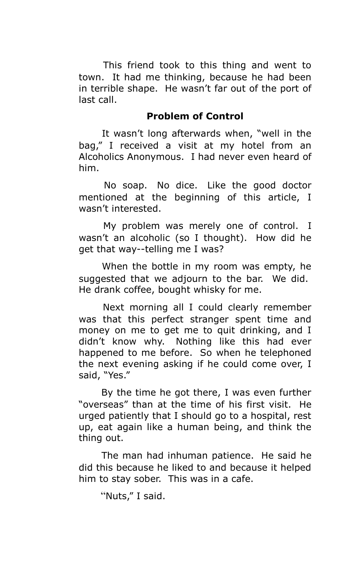This friend took to this thing and went to town. It had me thinking, because he had been in terrible shape. He wasn't far out of the port of last call.

# **Problem of Control**

 It wasn't long afterwards when, "well in the bag," I received a visit at my hotel from an Alcoholics Anonymous. I had never even heard of him.

 No soap. No dice. Like the good doctor mentioned at the beginning of this article, I wasn't interested.

 My problem was merely one of control. I wasn't an alcoholic (so I thought). How did he get that way--telling me I was?

 When the bottle in my room was empty, he suggested that we adjourn to the bar. We did. He drank coffee, bought whisky for me.

 Next morning all I could clearly remember was that this perfect stranger spent time and money on me to get me to quit drinking, and I didn't know why. Nothing like this had ever happened to me before. So when he telephoned the next evening asking if he could come over, I said, "Yes."

 By the time he got there, I was even further "overseas" than at the time of his first visit. He urged patiently that I should go to a hospital, rest up, eat again like a human being, and think the thing out.

 The man had inhuman patience. He said he did this because he liked to and because it helped him to stay sober. This was in a cafe.

"Nuts," I said.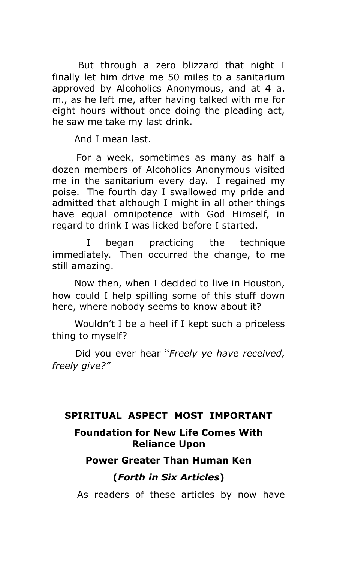But through a zero blizzard that night I finally let him drive me 50 miles to a sanitarium approved by Alcoholics Anonymous, and at 4 a. m., as he left me, after having talked with me for eight hours without once doing the pleading act, he saw me take my last drink.

And I mean last.

 For a week, sometimes as many as half a dozen members of Alcoholics Anonymous visited me in the sanitarium every day. I regained my poise. The fourth day I swallowed my pride and admitted that although I might in all other things have equal omnipotence with God Himself, in regard to drink I was licked before I started.

 I began practicing the technique immediately. Then occurred the change, to me still amazing.

 Now then, when I decided to live in Houston, how could I help spilling some of this stuff down here, where nobody seems to know about it?

 Wouldn't I be a heel if I kept such a priceless thing to myself?

 Did you ever hear "*Freely ye have received, freely give?"*

# **SPIRITUAL ASPECT MOST IMPORTANT**

#### **Foundation for New Life Comes With Reliance Upon**

#### **Power Greater Than Human Ken**

# **(***Forth in Six Articles***)**

As readers of these articles by now have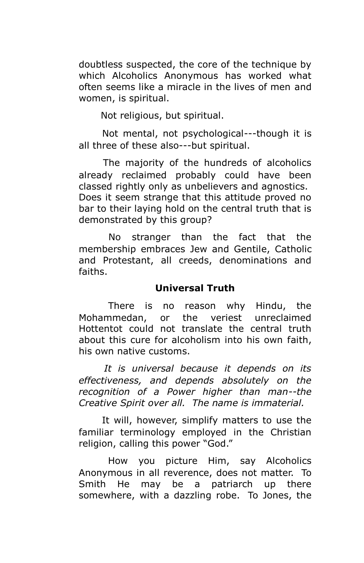doubtless suspected, the core of the technique by which Alcoholics Anonymous has worked what often seems like a miracle in the lives of men and women, is spiritual.

Not religious, but spiritual.

 Not mental, not psychological---though it is all three of these also---but spiritual.

 The majority of the hundreds of alcoholics already reclaimed probably could have been classed rightly only as unbelievers and agnostics. Does it seem strange that this attitude proved no bar to their laying hold on the central truth that is demonstrated by this group?

 No stranger than the fact that the membership embraces Jew and Gentile, Catholic and Protestant, all creeds, denominations and faiths.

#### **Universal Truth**

 There is no reason why Hindu, the Mohammedan, or the veriest unreclaimed Hottentot could not translate the central truth about this cure for alcoholism into his own faith, his own native customs.

 *It is universal because it depends on its effectiveness, and depends absolutely on the recognition of a Power higher than man--the Creative Spirit over all. The name is immaterial.*

 It will, however, simplify matters to use the familiar terminology employed in the Christian religion, calling this power "God."

 How you picture Him, say Alcoholics Anonymous in all reverence, does not matter. To Smith He may be a patriarch up there somewhere, with a dazzling robe. To Jones, the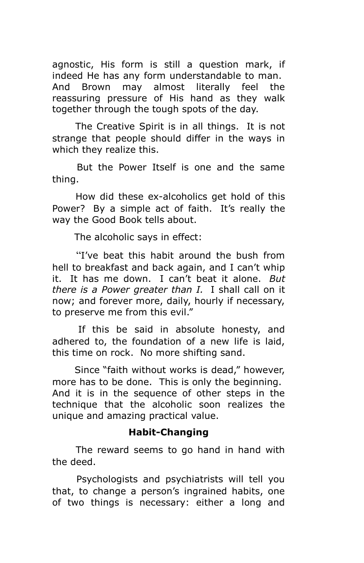agnostic, His form is still a question mark, if indeed He has any form understandable to man. And Brown may almost literally feel the reassuring pressure of His hand as they walk together through the tough spots of the day.

 The Creative Spirit is in all things. It is not strange that people should differ in the ways in which they realize this.

 But the Power Itself is one and the same thing.

 How did these ex-alcoholics get hold of this Power? By a simple act of faith. It's really the way the Good Book tells about.

The alcoholic says in effect:

 "I've beat this habit around the bush from hell to breakfast and back again, and I can't whip it. It has me down. I can't beat it alone. *But there is a Power greater than I.* I shall call on it now; and forever more, daily, hourly if necessary, to preserve me from this evil."

 If this be said in absolute honesty, and adhered to, the foundation of a new life is laid, this time on rock. No more shifting sand.

 Since "faith without works is dead," however, more has to be done. This is only the beginning. And it is in the sequence of other steps in the technique that the alcoholic soon realizes the unique and amazing practical value.

#### **Habit-Changing**

 The reward seems to go hand in hand with the deed.

 Psychologists and psychiatrists will tell you that, to change a person's ingrained habits, one of two things is necessary: either a long and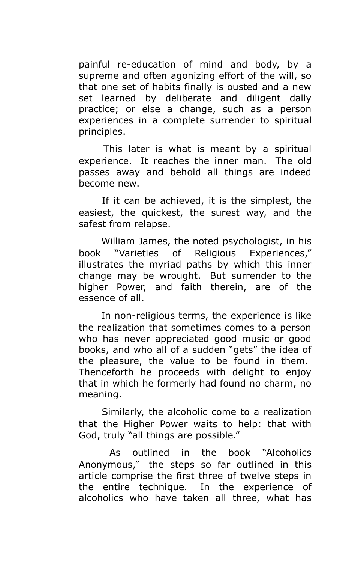painful re-education of mind and body, by a supreme and often agonizing effort of the will, so that one set of habits finally is ousted and a new set learned by deliberate and diligent dally practice; or else a change, such as a person experiences in a complete surrender to spiritual principles.

 This later is what is meant by a spiritual experience. It reaches the inner man. The old passes away and behold all things are indeed become new.

 If it can be achieved, it is the simplest, the easiest, the quickest, the surest way, and the safest from relapse.

 William James, the noted psychologist, in his book "Varieties of Religious Experiences," illustrates the myriad paths by which this inner change may be wrought. But surrender to the higher Power, and faith therein, are of the essence of all.

 In non-religious terms, the experience is like the realization that sometimes comes to a person who has never appreciated good music or good books, and who all of a sudden "gets" the idea of the pleasure, the value to be found in them. Thenceforth he proceeds with delight to enjoy that in which he formerly had found no charm, no meaning.

 Similarly, the alcoholic come to a realization that the Higher Power waits to help: that with God, truly "all things are possible."

 As outlined in the book "Alcoholics Anonymous," the steps so far outlined in this article comprise the first three of twelve steps in the entire technique. In the experience of alcoholics who have taken all three, what has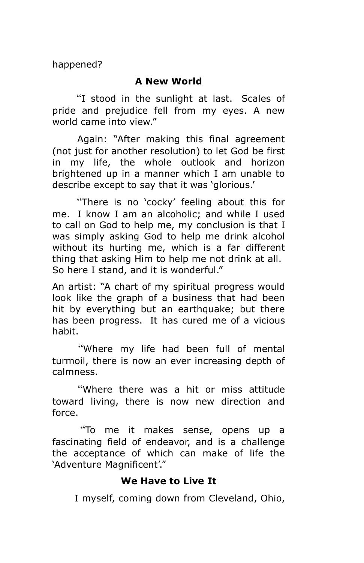happened?

# **A New World**

 "I stood in the sunlight at last. Scales of pride and prejudice fell from my eyes. A new world came into view."

 Again: "After making this final agreement (not just for another resolution) to let God be first in my life, the whole outlook and horizon brightened up in a manner which I am unable to describe except to say that it was 'glorious.'

 "There is no 'cocky' feeling about this for me. I know I am an alcoholic; and while I used to call on God to help me, my conclusion is that I was simply asking God to help me drink alcohol without its hurting me, which is a far different thing that asking Him to help me not drink at all. So here I stand, and it is wonderful."

An artist: "A chart of my spiritual progress would look like the graph of a business that had been hit by everything but an earthquake; but there has been progress. It has cured me of a vicious habit.

 "Where my life had been full of mental turmoil, there is now an ever increasing depth of calmness.

 "Where there was a hit or miss attitude toward living, there is now new direction and force.

 "To me it makes sense, opens up a fascinating field of endeavor, and is a challenge the acceptance of which can make of life the 'Adventure Magnificent'."

# **We Have to Live It**

I myself, coming down from Cleveland, Ohio,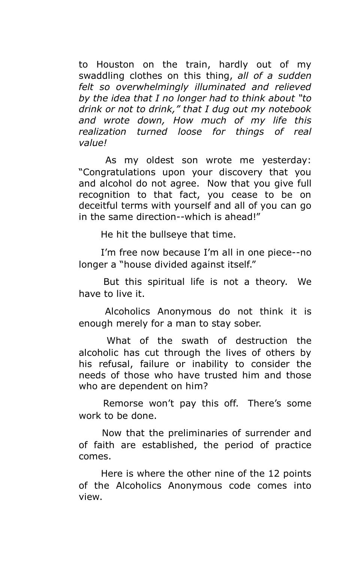to Houston on the train, hardly out of my swaddling clothes on this thing, *all of a sudden felt so overwhelmingly illuminated and relieved by the idea that I no longer had to think about "to drink or not to drink," that I dug out my notebook and wrote down, How much of my life this realization turned loose for things of real value!* 

 As my oldest son wrote me yesterday: "Congratulations upon your discovery that you and alcohol do not agree. Now that you give full recognition to that fact, you cease to be on deceitful terms with yourself and all of you can go in the same direction--which is ahead!"

He hit the bullseye that time.

 I'm free now because I'm all in one piece--no longer a "house divided against itself."

 But this spiritual life is not a theory. We have to live it.

 Alcoholics Anonymous do not think it is enough merely for a man to stay sober.

 What of the swath of destruction the alcoholic has cut through the lives of others by his refusal, failure or inability to consider the needs of those who have trusted him and those who are dependent on him?

 Remorse won't pay this off. There's some work to be done.

 Now that the preliminaries of surrender and of faith are established, the period of practice comes.

 Here is where the other nine of the 12 points of the Alcoholics Anonymous code comes into view.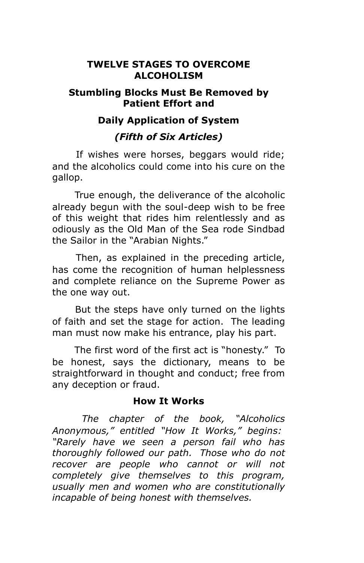#### **TWELVE STAGES TO OVERCOME ALCOHOLISM**

#### **Stumbling Blocks Must Be Removed by Patient Effort and**

# **Daily Application of System**

# *(Fifth of Six Articles)*

 If wishes were horses, beggars would ride; and the alcoholics could come into his cure on the gallop.

 True enough, the deliverance of the alcoholic already begun with the soul-deep wish to be free of this weight that rides him relentlessly and as odiously as the Old Man of the Sea rode Sindbad the Sailor in the "Arabian Nights."

 Then, as explained in the preceding article, has come the recognition of human helplessness and complete reliance on the Supreme Power as the one way out.

 But the steps have only turned on the lights of faith and set the stage for action. The leading man must now make his entrance, play his part.

 The first word of the first act is "honesty." To be honest, says the dictionary, means to be straightforward in thought and conduct; free from any deception or fraud.

#### **How It Works**

 *The chapter of the book, "Alcoholics Anonymous," entitled "How It Works," begins: "Rarely have we seen a person fail who has thoroughly followed our path. Those who do not recover are people who cannot or will not completely give themselves to this program, usually men and women who are constitutionally incapable of being honest with themselves.*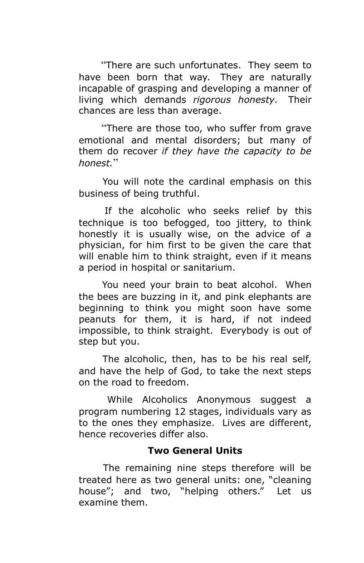"There are such unfortunates. They seem to have been born that way. They are naturally incapable of grasping and developing a manner of living which demands *rigorous honesty.* Their chances are less than average.

 "There are those too, who suffer from grave emotional and mental disorders; but many of them do recover *if they have the capacity to be honest.*"

 You will note the cardinal emphasis on this business of being truthful.

 If the alcoholic who seeks relief by this technique is too befogged, too jittery, to think honestly it is usually wise, on the advice of a physician, for him first to be given the care that will enable him to think straight, even if it means a period in hospital or sanitarium.

 You need your brain to beat alcohol. When the bees are buzzing in it, and pink elephants are beginning to think you might soon have some peanuts for them, it is hard, if not indeed impossible, to think straight. Everybody is out of step but you.

 The alcoholic, then, has to be his real self, and have the help of God, to take the next steps on the road to freedom.

 While Alcoholics Anonymous suggest a program numbering 12 stages, individuals vary as to the ones they emphasize. Lives are different, hence recoveries differ also.

#### **Two General Units**

 The remaining nine steps therefore will be treated here as two general units: one, "cleaning house"; and two, "helping others." Let us examine them.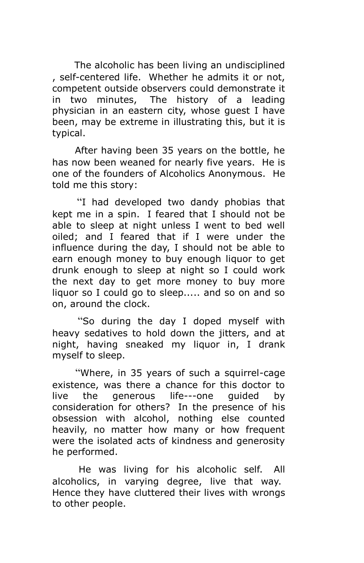The alcoholic has been living an undisciplined , self-centered life. Whether he admits it or not, competent outside observers could demonstrate it in two minutes, The history of a leading physician in an eastern city, whose guest I have been, may be extreme in illustrating this, but it is typical.

 After having been 35 years on the bottle, he has now been weaned for nearly five years. He is one of the founders of Alcoholics Anonymous. He told me this story:

 "I had developed two dandy phobias that kept me in a spin. I feared that I should not be able to sleep at night unless I went to bed well oiled; and I feared that if I were under the influence during the day, I should not be able to earn enough money to buy enough liquor to get drunk enough to sleep at night so I could work the next day to get more money to buy more liquor so I could go to sleep..... and so on and so on, around the clock.

 "So during the day I doped myself with heavy sedatives to hold down the jitters, and at night, having sneaked my liquor in, I drank myself to sleep.

 "Where, in 35 years of such a squirrel-cage existence, was there a chance for this doctor to live the generous life---one guided by consideration for others? In the presence of his obsession with alcohol, nothing else counted heavily, no matter how many or how frequent were the isolated acts of kindness and generosity he performed.

 He was living for his alcoholic self. All alcoholics, in varying degree, live that way. Hence they have cluttered their lives with wrongs to other people.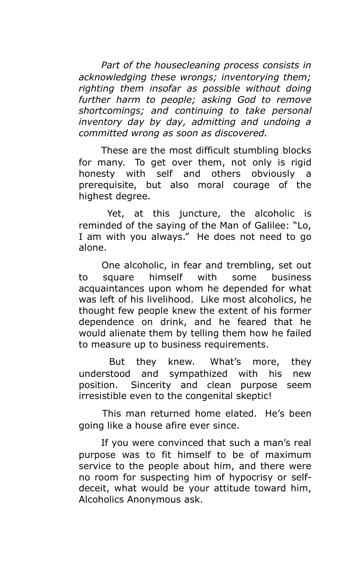*Part of the housecleaning process consists in acknowledging these wrongs; inventorying them; righting them insofar as possible without doing further harm to people; asking God to remove shortcomings; and continuing to take personal inventory day by day, admitting and undoing a committed wrong as soon as discovered.*

 These are the most difficult stumbling blocks for many. To get over them, not only is rigid honesty with self and others obviously a prerequisite, but also moral courage of the highest degree.

 Yet, at this juncture, the alcoholic is reminded of the saying of the Man of Galilee: "Lo, I am with you always." He does not need to go alone.

 One alcoholic, in fear and trembling, set out to square himself with some business acquaintances upon whom he depended for what was left of his livelihood. Like most alcoholics, he thought few people knew the extent of his former dependence on drink, and he feared that he would alienate them by telling them how he failed to measure up to business requirements.

 But they knew. What's more, they understood and sympathized with his new position. Sincerity and clean purpose seem irresistible even to the congenital skeptic!

 This man returned home elated. He's been going like a house afire ever since.

 If you were convinced that such a man's real purpose was to fit himself to be of maximum service to the people about him, and there were no room for suspecting him of hypocrisy or selfdeceit, what would be your attitude toward him, Alcoholics Anonymous ask.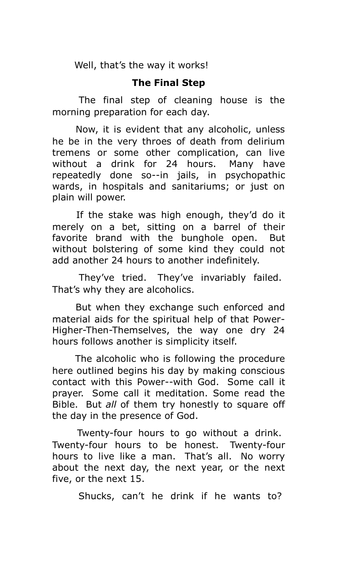Well, that's the way it works!

# **The Final Step**

 The final step of cleaning house is the morning preparation for each day.

 Now, it is evident that any alcoholic, unless he be in the very throes of death from delirium tremens or some other complication, can live without a drink for 24 hours. Many have repeatedly done so--in jails, in psychopathic wards, in hospitals and sanitariums; or just on plain will power.

 If the stake was high enough, they'd do it merely on a bet, sitting on a barrel of their favorite brand with the bunghole open. But without bolstering of some kind they could not add another 24 hours to another indefinitely.

 They've tried. They've invariably failed. That's why they are alcoholics.

 But when they exchange such enforced and material aids for the spiritual help of that Power-Higher-Then-Themselves, the way one dry 24 hours follows another is simplicity itself.

 The alcoholic who is following the procedure here outlined begins his day by making conscious contact with this Power--with God. Some call it prayer. Some call it meditation. Some read the Bible. But *all* of them try honestly to square off the day in the presence of God.

 Twenty-four hours to go without a drink. Twenty-four hours to be honest. Twenty-four hours to live like a man. That's all. No worry about the next day, the next year, or the next five, or the next 15.

Shucks, can't he drink if he wants to?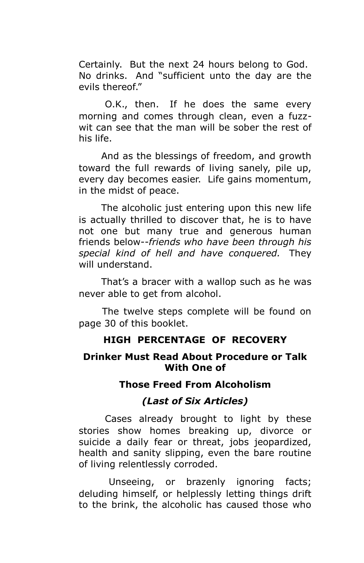Certainly. But the next 24 hours belong to God. No drinks. And "sufficient unto the day are the evils thereof."

 O.K., then. If he does the same every morning and comes through clean, even a fuzzwit can see that the man will be sober the rest of his life.

 And as the blessings of freedom, and growth toward the full rewards of living sanely, pile up, every day becomes easier. Life gains momentum, in the midst of peace.

 The alcoholic just entering upon this new life is actually thrilled to discover that, he is to have not one but many true and generous human friends below--*friends who have been through his special kind of hell and have conquered.* They will understand.

 That's a bracer with a wallop such as he was never able to get from alcohol.

 The twelve steps complete will be found on page 30 of this booklet.

# **HIGH PERCENTAGE OF RECOVERY**

#### **Drinker Must Read About Procedure or Talk With One of**

# **Those Freed From Alcoholism**

# *(Last of Six Articles)*

 Cases already brought to light by these stories show homes breaking up, divorce or suicide a daily fear or threat, jobs jeopardized, health and sanity slipping, even the bare routine of living relentlessly corroded.

 Unseeing, or brazenly ignoring facts; deluding himself, or helplessly letting things drift to the brink, the alcoholic has caused those who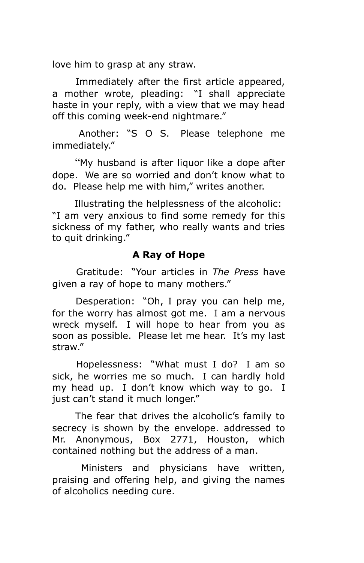love him to grasp at any straw.

 Immediately after the first article appeared, a mother wrote, pleading: "I shall appreciate haste in your reply, with a view that we may head off this coming week-end nightmare."

 Another: "S O S. Please telephone me immediately."

 "My husband is after liquor like a dope after dope. We are so worried and don't know what to do. Please help me with him," writes another.

 Illustrating the helplessness of the alcoholic: "I am very anxious to find some remedy for this sickness of my father, who really wants and tries to quit drinking."

# **A Ray of Hope**

 Gratitude: "Your articles in *The Press* have given a ray of hope to many mothers."

 Desperation: "Oh, I pray you can help me, for the worry has almost got me. I am a nervous wreck myself. I will hope to hear from you as soon as possible. Please let me hear. It's my last straw."

 Hopelessness: "What must I do? I am so sick, he worries me so much. I can hardly hold my head up. I don't know which way to go. I just can't stand it much longer."

 The fear that drives the alcoholic's family to secrecy is shown by the envelope. addressed to Mr. Anonymous, Box 2771, Houston, which contained nothing but the address of a man.

 Ministers and physicians have written, praising and offering help, and giving the names of alcoholics needing cure.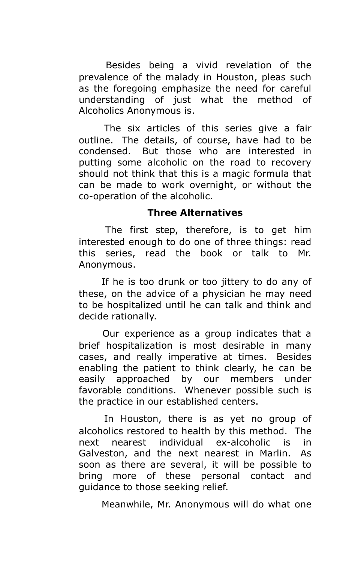Besides being a vivid revelation of the prevalence of the malady in Houston, pleas such as the foregoing emphasize the need for careful understanding of just what the method of Alcoholics Anonymous is.

 The six articles of this series give a fair outline. The details, of course, have had to be condensed. But those who are interested in putting some alcoholic on the road to recovery should not think that this is a magic formula that can be made to work overnight, or without the co-operation of the alcoholic.

#### **Three Alternatives**

 The first step, therefore, is to get him interested enough to do one of three things: read this series, read the book or talk to Mr. Anonymous.

 If he is too drunk or too jittery to do any of these, on the advice of a physician he may need to be hospitalized until he can talk and think and decide rationally.

 Our experience as a group indicates that a brief hospitalization is most desirable in many cases, and really imperative at times. Besides enabling the patient to think clearly, he can be easily approached by our members under favorable conditions. Whenever possible such is the practice in our established centers.

 In Houston, there is as yet no group of alcoholics restored to health by this method. The next nearest individual ex-alcoholic is in Galveston, and the next nearest in Marlin. As soon as there are several, it will be possible to bring more of these personal contact and guidance to those seeking relief.

Meanwhile, Mr. Anonymous will do what one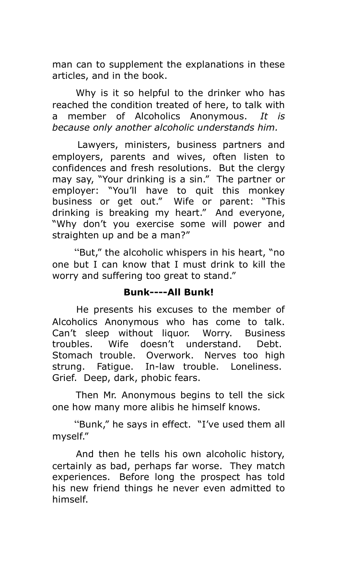man can to supplement the explanations in these articles, and in the book.

 Why is it so helpful to the drinker who has reached the condition treated of here, to talk with a member of Alcoholics Anonymous. *It is because only another alcoholic understands him.*

 Lawyers, ministers, business partners and employers, parents and wives, often listen to confidences and fresh resolutions. But the clergy may say, "Your drinking is a sin." The partner or employer: "You'll have to quit this monkey business or get out." Wife or parent: "This drinking is breaking my heart." And everyone, "Why don't you exercise some will power and straighten up and be a man?"

 "But," the alcoholic whispers in his heart, "no one but I can know that I must drink to kill the worry and suffering too great to stand."

#### **Bunk----All Bunk!**

 He presents his excuses to the member of Alcoholics Anonymous who has come to talk. Can't sleep without liquor. Worry. Business troubles. Wife doesn't understand. Debt. Stomach trouble. Overwork. Nerves too high strung. Fatigue. In-law trouble. Loneliness. Grief. Deep, dark, phobic fears.

 Then Mr. Anonymous begins to tell the sick one how many more alibis he himself knows.

 "Bunk," he says in effect. "I've used them all myself."

 And then he tells his own alcoholic history, certainly as bad, perhaps far worse. They match experiences. Before long the prospect has told his new friend things he never even admitted to himself.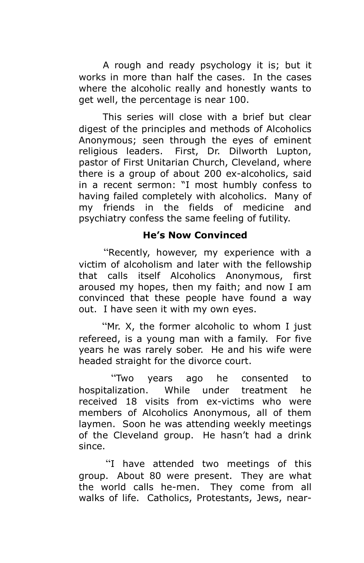A rough and ready psychology it is; but it works in more than half the cases. In the cases where the alcoholic really and honestly wants to get well, the percentage is near 100.

 This series will close with a brief but clear digest of the principles and methods of Alcoholics Anonymous; seen through the eyes of eminent religious leaders. First, Dr. Dilworth Lupton, pastor of First Unitarian Church, Cleveland, where there is a group of about 200 ex-alcoholics, said in a recent sermon: "I most humbly confess to having failed completely with alcoholics. Many of my friends in the fields of medicine and psychiatry confess the same feeling of futility.

#### **He's Now Convinced**

 "Recently, however, my experience with a victim of alcoholism and later with the fellowship that calls itself Alcoholics Anonymous, first aroused my hopes, then my faith; and now I am convinced that these people have found a way out. I have seen it with my own eyes.

 "Mr. X, the former alcoholic to whom I just refereed, is a young man with a family. For five years he was rarely sober. He and his wife were headed straight for the divorce court.

 "Two years ago he consented to hospitalization. While under treatment he received 18 visits from ex-victims who were members of Alcoholics Anonymous, all of them laymen. Soon he was attending weekly meetings of the Cleveland group. He hasn't had a drink since.

 "I have attended two meetings of this group. About 80 were present. They are what the world calls he-men. They come from all walks of life. Catholics, Protestants, Jews, near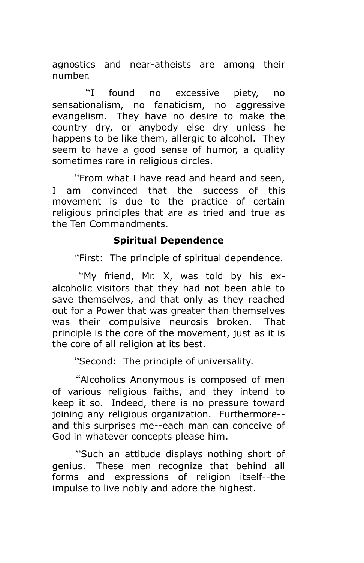agnostics and near-atheists are among their number.

 "I found no excessive piety, no sensationalism, no fanaticism, no aggressive evangelism. They have no desire to make the country dry, or anybody else dry unless he happens to be like them, allergic to alcohol. They seem to have a good sense of humor, a quality sometimes rare in religious circles.

 "From what I have read and heard and seen, I am convinced that the success of this movement is due to the practice of certain religious principles that are as tried and true as the Ten Commandments.

#### **Spiritual Dependence**

"First: The principle of spiritual dependence.

 "My friend, Mr. X, was told by his exalcoholic visitors that they had not been able to save themselves, and that only as they reached out for a Power that was greater than themselves was their compulsive neurosis broken. That principle is the core of the movement, just as it is the core of all religion at its best.

"Second: The principle of universality.

 "Alcoholics Anonymous is composed of men of various religious faiths, and they intend to keep it so. Indeed, there is no pressure toward joining any religious organization. Furthermore- and this surprises me--each man can conceive of God in whatever concepts please him.

 "Such an attitude displays nothing short of genius. These men recognize that behind all forms and expressions of religion itself--the impulse to live nobly and adore the highest.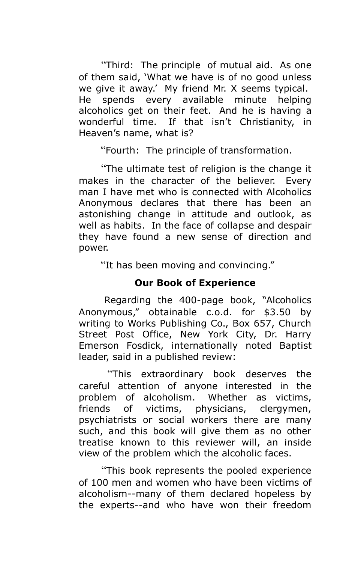"Third: The principle of mutual aid. As one of them said, 'What we have is of no good unless we give it away.' My friend Mr. X seems typical. He spends every available minute helping alcoholics get on their feet. And he is having a wonderful time. If that isn't Christianity, in Heaven's name, what is?

"Fourth: The principle of transformation.

 "The ultimate test of religion is the change it makes in the character of the believer. Every man I have met who is connected with Alcoholics Anonymous declares that there has been an astonishing change in attitude and outlook, as well as habits. In the face of collapse and despair they have found a new sense of direction and power.

"It has been moving and convincing."

# **Our Book of Experience**

 Regarding the 400-page book, "Alcoholics Anonymous," obtainable c.o.d. for \$3.50 by writing to Works Publishing Co., Box 657, Church Street Post Office, New York City, Dr. Harry Emerson Fosdick, internationally noted Baptist leader, said in a published review:

 "This extraordinary book deserves the careful attention of anyone interested in the problem of alcoholism. Whether as victims, friends of victims, physicians, clergymen, psychiatrists or social workers there are many such, and this book will give them as no other treatise known to this reviewer will, an inside view of the problem which the alcoholic faces.

 "This book represents the pooled experience of 100 men and women who have been victims of alcoholism--many of them declared hopeless by the experts--and who have won their freedom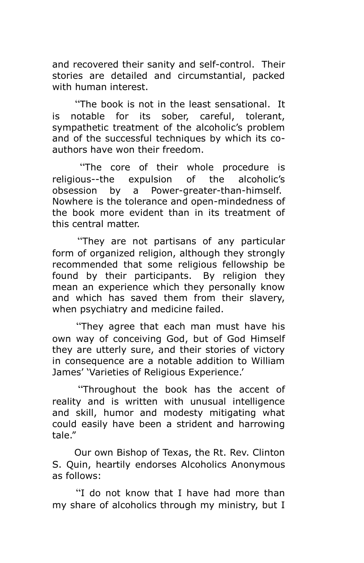and recovered their sanity and self-control. Their stories are detailed and circumstantial, packed with human interest.

 "The book is not in the least sensational. It is notable for its sober, careful, tolerant, sympathetic treatment of the alcoholic's problem and of the successful techniques by which its coauthors have won their freedom.

 "The core of their whole procedure is religious--the expulsion of the alcoholic's obsession by a Power-greater-than-himself. Nowhere is the tolerance and open-mindedness of the book more evident than in its treatment of this central matter.

 "They are not partisans of any particular form of organized religion, although they strongly recommended that some religious fellowship be found by their participants. By religion they mean an experience which they personally know and which has saved them from their slavery, when psychiatry and medicine failed.

 "They agree that each man must have his own way of conceiving God, but of God Himself they are utterly sure, and their stories of victory in consequence are a notable addition to William James' 'Varieties of Religious Experience.'

 "Throughout the book has the accent of reality and is written with unusual intelligence and skill, humor and modesty mitigating what could easily have been a strident and harrowing tale."

 Our own Bishop of Texas, the Rt. Rev. Clinton S. Quin, heartily endorses Alcoholics Anonymous as follows:

 "I do not know that I have had more than my share of alcoholics through my ministry, but I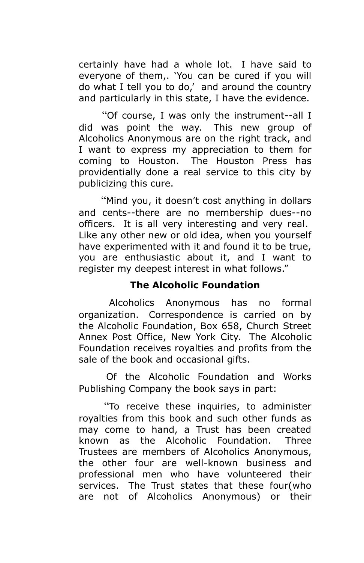certainly have had a whole lot. I have said to everyone of them,. 'You can be cured if you will do what I tell you to do,' and around the country and particularly in this state, I have the evidence.

 "Of course, I was only the instrument--all I did was point the way. This new group of Alcoholics Anonymous are on the right track, and I want to express my appreciation to them for coming to Houston. The Houston Press has providentially done a real service to this city by publicizing this cure.

 "Mind you, it doesn't cost anything in dollars and cents--there are no membership dues--no officers. It is all very interesting and very real. Like any other new or old idea, when you yourself have experimented with it and found it to be true, you are enthusiastic about it, and I want to register my deepest interest in what follows."

# **The Alcoholic Foundation**

 Alcoholics Anonymous has no formal organization. Correspondence is carried on by the Alcoholic Foundation, Box 658, Church Street Annex Post Office, New York City. The Alcoholic Foundation receives royalties and profits from the sale of the book and occasional gifts.

 Of the Alcoholic Foundation and Works Publishing Company the book says in part:

 "To receive these inquiries, to administer royalties from this book and such other funds as may come to hand, a Trust has been created known as the Alcoholic Foundation. Three Trustees are members of Alcoholics Anonymous, the other four are well-known business and professional men who have volunteered their services. The Trust states that these four(who are not of Alcoholics Anonymous) or their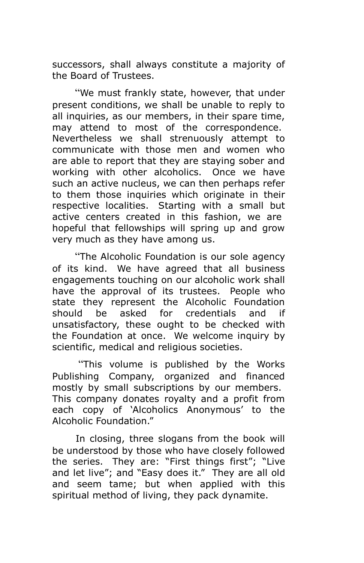successors, shall always constitute a majority of the Board of Trustees.

 "We must frankly state, however, that under present conditions, we shall be unable to reply to all inquiries, as our members, in their spare time, may attend to most of the correspondence. Nevertheless we shall strenuously attempt to communicate with those men and women who are able to report that they are staying sober and working with other alcoholics. Once we have such an active nucleus, we can then perhaps refer to them those inquiries which originate in their respective localities. Starting with a small but active centers created in this fashion, we are hopeful that fellowships will spring up and grow very much as they have among us.

 "The Alcoholic Foundation is our sole agency of its kind. We have agreed that all business engagements touching on our alcoholic work shall have the approval of its trustees. People who state they represent the Alcoholic Foundation should be asked for credentials and if unsatisfactory, these ought to be checked with the Foundation at once. We welcome inquiry by scientific, medical and religious societies.

 "This volume is published by the Works Publishing Company, organized and financed mostly by small subscriptions by our members. This company donates royalty and a profit from each copy of 'Alcoholics Anonymous' to the Alcoholic Foundation."

 In closing, three slogans from the book will be understood by those who have closely followed the series. They are: "First things first"; "Live and let live"; and "Easy does it." They are all old and seem tame; but when applied with this spiritual method of living, they pack dynamite.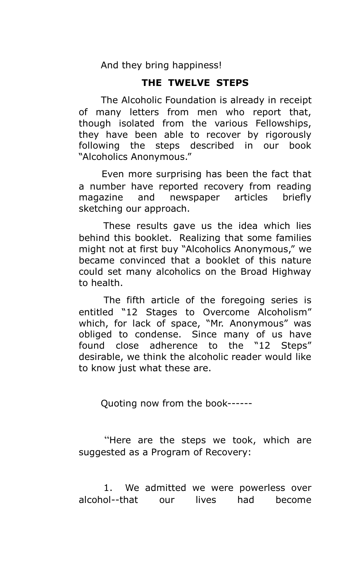And they bring happiness!

#### **THE TWELVE STEPS**

 The Alcoholic Foundation is already in receipt of many letters from men who report that, though isolated from the various Fellowships, they have been able to recover by rigorously following the steps described in our book "Alcoholics Anonymous."

 Even more surprising has been the fact that a number have reported recovery from reading magazine and newspaper articles briefly sketching our approach.

 These results gave us the idea which lies behind this booklet. Realizing that some families might not at first buy "Alcoholics Anonymous," we became convinced that a booklet of this nature could set many alcoholics on the Broad Highway to health.

 The fifth article of the foregoing series is entitled "12 Stages to Overcome Alcoholism" which, for lack of space, "Mr. Anonymous" was obliged to condense. Since many of us have found close adherence to the "12 Steps" desirable, we think the alcoholic reader would like to know just what these are.

Quoting now from the book------

 "Here are the steps we took, which are suggested as a Program of Recovery:

 1. We admitted we were powerless over alcohol--that our lives had become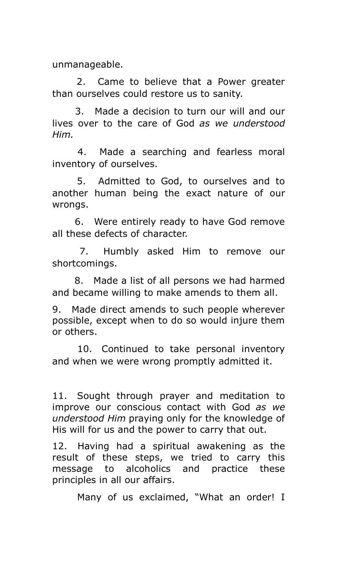unmanageable.

 2. Came to believe that a Power greater than ourselves could restore us to sanity.

 3. Made a decision to turn our will and our lives over to the care of God *as we understood Him.*

 4. Made a searching and fearless moral inventory of ourselves.

 5. Admitted to God, to ourselves and to another human being the exact nature of our wrongs.

 6. Were entirely ready to have God remove all these defects of character.

 7. Humbly asked Him to remove our shortcomings.

 8. Made a list of all persons we had harmed and became willing to make amends to them all.

9. Made direct amends to such people wherever possible, except when to do so would injure them or others.

 10. Continued to take personal inventory and when we were wrong promptly admitted it.

11. Sought through prayer and meditation to improve our conscious contact with God *as we understood Him* praying only for the knowledge of His will for us and the power to carry that out.

12. Having had a spiritual awakening as the result of these steps, we tried to carry this message to alcoholics and practice these principles in all our affairs.

Many of us exclaimed, "What an order! I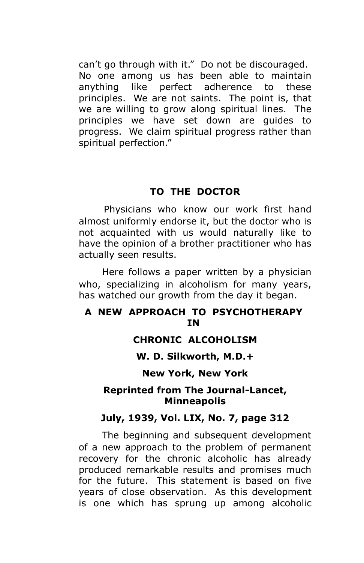can't go through with it." Do not be discouraged. No one among us has been able to maintain anything like perfect adherence to these principles. We are not saints. The point is, that we are willing to grow along spiritual lines. The principles we have set down are guides to progress. We claim spiritual progress rather than spiritual perfection."

# **TO THE DOCTOR**

 Physicians who know our work first hand almost uniformly endorse it, but the doctor who is not acquainted with us would naturally like to have the opinion of a brother practitioner who has actually seen results.

 Here follows a paper written by a physician who, specializing in alcoholism for many years, has watched our growth from the day it began.

#### **A NEW APPROACH TO PSYCHOTHERAPY IN**

# **CHRONIC ALCOHOLISM**

#### **W. D. Silkworth, M.D.+**

**New York, New York**

#### **Reprinted from The Journal-Lancet, Minneapolis**

#### **July, 1939, Vol. LIX, No. 7, page 312**

 The beginning and subsequent development of a new approach to the problem of permanent recovery for the chronic alcoholic has already produced remarkable results and promises much for the future. This statement is based on five years of close observation. As this development is one which has sprung up among alcoholic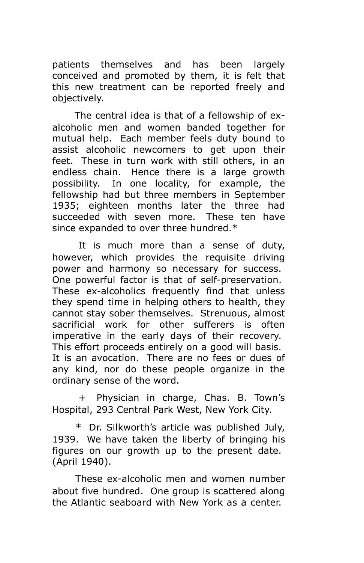patients themselves and has been largely conceived and promoted by them, it is felt that this new treatment can be reported freely and objectively.

 The central idea is that of a fellowship of exalcoholic men and women banded together for mutual help. Each member feels duty bound to assist alcoholic newcomers to get upon their feet. These in turn work with still others, in an endless chain. Hence there is a large growth possibility. In one locality, for example, the fellowship had but three members in September 1935; eighteen months later the three had succeeded with seven more. These ten have since expanded to over three hundred.\*

 It is much more than a sense of duty, however, which provides the requisite driving power and harmony so necessary for success. One powerful factor is that of self-preservation. These ex-alcoholics frequently find that unless they spend time in helping others to health, they cannot stay sober themselves. Strenuous, almost sacrificial work for other sufferers is often imperative in the early days of their recovery. This effort proceeds entirely on a good will basis. It is an avocation. There are no fees or dues of any kind, nor do these people organize in the ordinary sense of the word.

Physician in charge, Chas. B. Town's Hospital, 293 Central Park West, New York City.

 \* Dr. Silkworth's article was published July, 1939. We have taken the liberty of bringing his figures on our growth up to the present date. (April 1940).

 These ex-alcoholic men and women number about five hundred. One group is scattered along the Atlantic seaboard with New York as a center.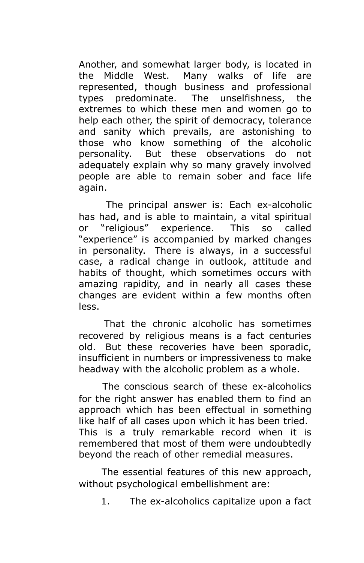Another, and somewhat larger body, is located in the Middle West. Many walks of life are represented, though business and professional types predominate. The unselfishness, the extremes to which these men and women go to help each other, the spirit of democracy, tolerance and sanity which prevails, are astonishing to those who know something of the alcoholic personality. But these observations do not adequately explain why so many gravely involved people are able to remain sober and face life again.

 The principal answer is: Each ex-alcoholic has had, and is able to maintain, a vital spiritual or "religious" experience. This so called "experience" is accompanied by marked changes in personality. There is always, in a successful case, a radical change in outlook, attitude and habits of thought, which sometimes occurs with amazing rapidity, and in nearly all cases these changes are evident within a few months often less.

 That the chronic alcoholic has sometimes recovered by religious means is a fact centuries old. But these recoveries have been sporadic, insufficient in numbers or impressiveness to make headway with the alcoholic problem as a whole.

 The conscious search of these ex-alcoholics for the right answer has enabled them to find an approach which has been effectual in something like half of all cases upon which it has been tried. This is a truly remarkable record when it is remembered that most of them were undoubtedly beyond the reach of other remedial measures.

 The essential features of this new approach, without psychological embellishment are:

1. The ex-alcoholics capitalize upon a fact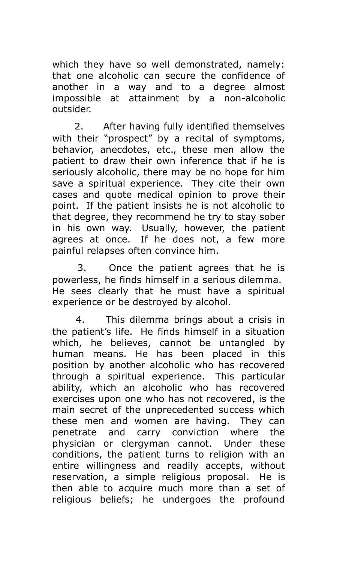which they have so well demonstrated, namely: that one alcoholic can secure the confidence of another in a way and to a degree almost impossible at attainment by a non-alcoholic outsider.

 2. After having fully identified themselves with their "prospect" by a recital of symptoms, behavior, anecdotes, etc., these men allow the patient to draw their own inference that if he is seriously alcoholic, there may be no hope for him save a spiritual experience. They cite their own cases and quote medical opinion to prove their point. If the patient insists he is not alcoholic to that degree, they recommend he try to stay sober in his own way. Usually, however, the patient agrees at once. If he does not, a few more painful relapses often convince him.

 3. Once the patient agrees that he is powerless, he finds himself in a serious dilemma. He sees clearly that he must have a spiritual experience or be destroyed by alcohol.

 4. This dilemma brings about a crisis in the patient's life. He finds himself in a situation which, he believes, cannot be untangled by human means. He has been placed in this position by another alcoholic who has recovered through a spiritual experience. This particular ability, which an alcoholic who has recovered exercises upon one who has not recovered, is the main secret of the unprecedented success which these men and women are having. They can penetrate and carry conviction where the physician or clergyman cannot. Under these conditions, the patient turns to religion with an entire willingness and readily accepts, without reservation, a simple religious proposal. He is then able to acquire much more than a set of religious beliefs; he undergoes the profound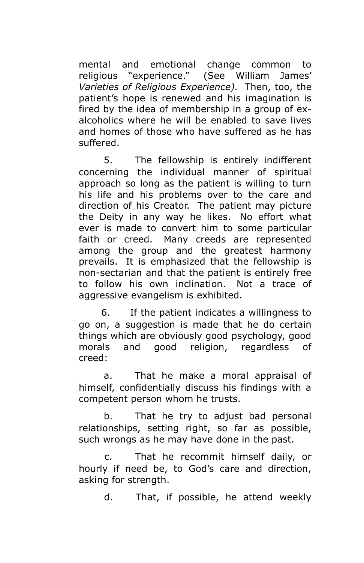mental and emotional change common to religious "experience." (See William James' *Varieties of Religious Experience).* Then, too, the patient's hope is renewed and his imagination is fired by the idea of membership in a group of exalcoholics where he will be enabled to save lives and homes of those who have suffered as he has suffered.

 5. The fellowship is entirely indifferent concerning the individual manner of spiritual approach so long as the patient is willing to turn his life and his problems over to the care and direction of his Creator. The patient may picture the Deity in any way he likes. No effort what ever is made to convert him to some particular faith or creed. Many creeds are represented among the group and the greatest harmony prevails. It is emphasized that the fellowship is non-sectarian and that the patient is entirely free to follow his own inclination. Not a trace of aggressive evangelism is exhibited.

 6. If the patient indicates a willingness to go on, a suggestion is made that he do certain things which are obviously good psychology, good morals and good religion, regardless of creed:

 a. That he make a moral appraisal of himself, confidentially discuss his findings with a competent person whom he trusts.

 b. That he try to adjust bad personal relationships, setting right, so far as possible, such wrongs as he may have done in the past.

 c. That he recommit himself daily, or hourly if need be, to God's care and direction, asking for strength.

d. That, if possible, he attend weekly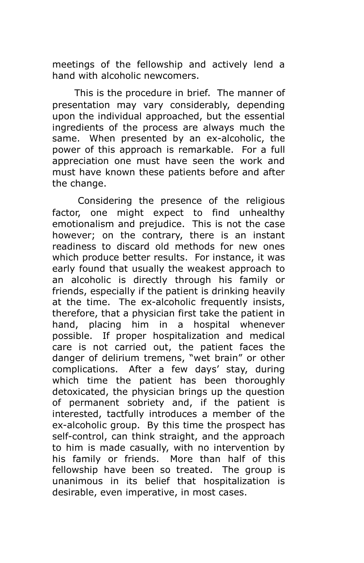meetings of the fellowship and actively lend a hand with alcoholic newcomers.

 This is the procedure in brief. The manner of presentation may vary considerably, depending upon the individual approached, but the essential ingredients of the process are always much the same. When presented by an ex-alcoholic, the power of this approach is remarkable. For a full appreciation one must have seen the work and must have known these patients before and after the change.

 Considering the presence of the religious factor, one might expect to find unhealthy emotionalism and prejudice. This is not the case however; on the contrary, there is an instant readiness to discard old methods for new ones which produce better results. For instance, it was early found that usually the weakest approach to an alcoholic is directly through his family or friends, especially if the patient is drinking heavily at the time. The ex-alcoholic frequently insists, therefore, that a physician first take the patient in hand, placing him in a hospital whenever possible. If proper hospitalization and medical care is not carried out, the patient faces the danger of delirium tremens, "wet brain" or other complications. After a few days' stay, during which time the patient has been thoroughly detoxicated, the physician brings up the question of permanent sobriety and, if the patient is interested, tactfully introduces a member of the ex-alcoholic group. By this time the prospect has self-control, can think straight, and the approach to him is made casually, with no intervention by his family or friends. More than half of this fellowship have been so treated. The group is unanimous in its belief that hospitalization is desirable, even imperative, in most cases.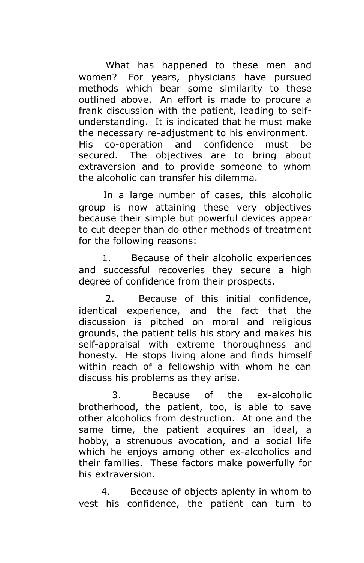What has happened to these men and women? For years, physicians have pursued methods which bear some similarity to these outlined above. An effort is made to procure a frank discussion with the patient, leading to selfunderstanding. It is indicated that he must make the necessary re-adjustment to his environment. His co-operation and confidence must be secured. The objectives are to bring about extraversion and to provide someone to whom the alcoholic can transfer his dilemma.

 In a large number of cases, this alcoholic group is now attaining these very objectives because their simple but powerful devices appear to cut deeper than do other methods of treatment for the following reasons:

 1. Because of their alcoholic experiences and successful recoveries they secure a high degree of confidence from their prospects.

 2. Because of this initial confidence, identical experience, and the fact that the discussion is pitched on moral and religious grounds, the patient tells his story and makes his self-appraisal with extreme thoroughness and honesty. He stops living alone and finds himself within reach of a fellowship with whom he can discuss his problems as they arise.

 3. Because of the ex-alcoholic brotherhood, the patient, too, is able to save other alcoholics from destruction. At one and the same time, the patient acquires an ideal, a hobby, a strenuous avocation, and a social life which he enjoys among other ex-alcoholics and their families. These factors make powerfully for his extraversion.

 4. Because of objects aplenty in whom to vest his confidence, the patient can turn to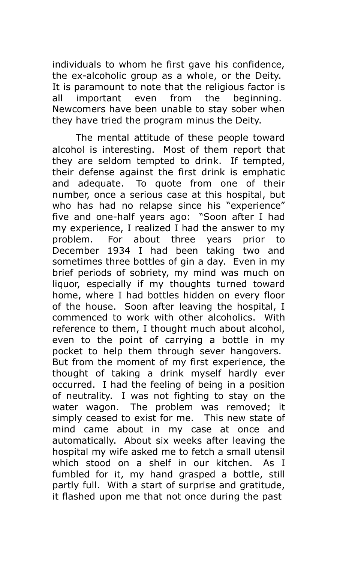individuals to whom he first gave his confidence, the ex-alcoholic group as a whole, or the Deity. It is paramount to note that the religious factor is all important even from the beginning. Newcomers have been unable to stay sober when they have tried the program minus the Deity.

 The mental attitude of these people toward alcohol is interesting. Most of them report that they are seldom tempted to drink. If tempted, their defense against the first drink is emphatic and adequate. To quote from one of their number, once a serious case at this hospital, but who has had no relapse since his "experience" five and one-half years ago: "Soon after I had my experience, I realized I had the answer to my problem. For about three years prior to December 1934 I had been taking two and sometimes three bottles of gin a day. Even in my brief periods of sobriety, my mind was much on liquor, especially if my thoughts turned toward home, where I had bottles hidden on every floor of the house. Soon after leaving the hospital, I commenced to work with other alcoholics. With reference to them, I thought much about alcohol, even to the point of carrying a bottle in my pocket to help them through sever hangovers. But from the moment of my first experience, the thought of taking a drink myself hardly ever occurred. I had the feeling of being in a position of neutrality. I was not fighting to stay on the water wagon. The problem was removed; it simply ceased to exist for me. This new state of mind came about in my case at once and automatically. About six weeks after leaving the hospital my wife asked me to fetch a small utensil which stood on a shelf in our kitchen. As I fumbled for it, my hand grasped a bottle, still partly full. With a start of surprise and gratitude, it flashed upon me that not once during the past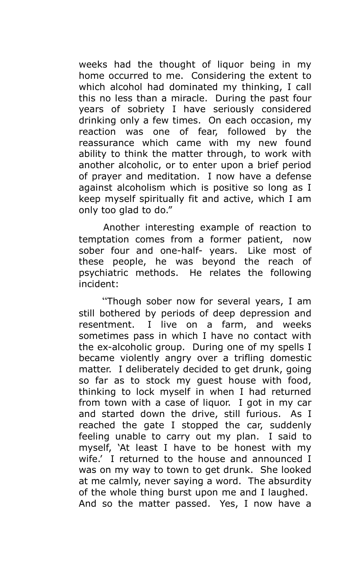weeks had the thought of liquor being in my home occurred to me. Considering the extent to which alcohol had dominated my thinking, I call this no less than a miracle. During the past four years of sobriety I have seriously considered drinking only a few times. On each occasion, my reaction was one of fear, followed by the reassurance which came with my new found ability to think the matter through, to work with another alcoholic, or to enter upon a brief period of prayer and meditation. I now have a defense against alcoholism which is positive so long as I keep myself spiritually fit and active, which I am only too glad to do."

 Another interesting example of reaction to temptation comes from a former patient, now sober four and one-half- years. Like most of these people, he was beyond the reach of psychiatric methods. He relates the following incident:

 "Though sober now for several years, I am still bothered by periods of deep depression and resentment. I live on a farm, and weeks sometimes pass in which I have no contact with the ex-alcoholic group. During one of my spells I became violently angry over a trifling domestic matter. I deliberately decided to get drunk, going so far as to stock my guest house with food, thinking to lock myself in when I had returned from town with a case of liquor. I got in my car and started down the drive, still furious. As I reached the gate I stopped the car, suddenly feeling unable to carry out my plan. I said to myself, 'At least I have to be honest with my wife.' I returned to the house and announced I was on my way to town to get drunk. She looked at me calmly, never saying a word. The absurdity of the whole thing burst upon me and I laughed. And so the matter passed. Yes, I now have a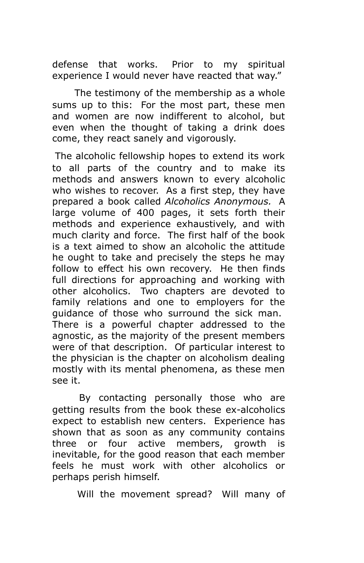defense that works. Prior to my spiritual experience I would never have reacted that way."

 The testimony of the membership as a whole sums up to this: For the most part, these men and women are now indifferent to alcohol, but even when the thought of taking a drink does come, they react sanely and vigorously.

The alcoholic fellowship hopes to extend its work to all parts of the country and to make its methods and answers known to every alcoholic who wishes to recover. As a first step, they have prepared a book called *Alcoholics Anonymous.* A large volume of 400 pages, it sets forth their methods and experience exhaustively, and with much clarity and force. The first half of the book is a text aimed to show an alcoholic the attitude he ought to take and precisely the steps he may follow to effect his own recovery. He then finds full directions for approaching and working with other alcoholics. Two chapters are devoted to family relations and one to employers for the guidance of those who surround the sick man. There is a powerful chapter addressed to the agnostic, as the majority of the present members were of that description. Of particular interest to the physician is the chapter on alcoholism dealing mostly with its mental phenomena, as these men see it.

 By contacting personally those who are getting results from the book these ex-alcoholics expect to establish new centers. Experience has shown that as soon as any community contains three or four active members, growth is inevitable, for the good reason that each member feels he must work with other alcoholics or perhaps perish himself.

Will the movement spread? Will many of